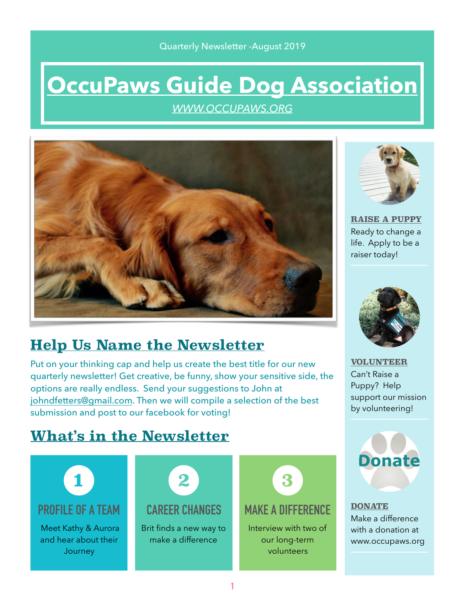## Quarterly Newsletter -August 2019

# **[OccuPaws Guide Dog Association](http://WWW.OCCUPAWS.ORG)**

*[WWW.OCCUPAWS.ORG](http://WWW.OCCUPAWS.ORG)*



# **Help Us Name the Newsletter**

Put on your thinking cap and help us create the best title for our new quarterly newsletter! Get creative, be funny, show your sensitive side, the options are really endless. Send your suggestions to John at [johndfetters@gmail.com](mailto:johndfetters@gmail.com). Then we will compile a selection of the best submission and post to our facebook for voting!



**[RAISE A PUPPY](https://occupaws.org/how-to-help/become-a-puppy-raiser/)** Ready to change a life. Apply to be a raiser today!



**[VOLUNTEER](https://occupaws.org/how-to-help/)** Can't Raise a Puppy? Help support our mission by volunteering!

# **What's in the Newsletter**





**[DONATE](https://occupaws.org/how-to-help/donate/)** Make a difference with a donation at www.occupaws.org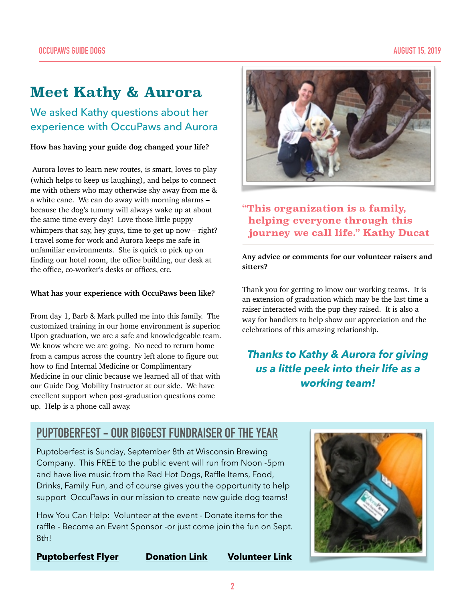# **Meet Kathy & Aurora**

We asked Kathy questions about her experience with OccuPaws and Aurora

#### **How has having your guide dog changed your life?**

 Aurora loves to learn new routes, is smart, loves to play (which helps to keep us laughing), and helps to connect me with others who may otherwise shy away from me & a white cane. We can do away with morning alarms – because the dog's tummy will always wake up at about the same time every day! Love those little puppy whimpers that say, hey guys, time to get up now – right? I travel some for work and Aurora keeps me safe in unfamiliar environments. She is quick to pick up on finding our hotel room, the office building, our desk at the office, co-worker's desks or offices, etc.

#### **What has your experience with OccuPaws been like?**

From day 1, Barb & Mark pulled me into this family. The customized training in our home environment is superior. Upon graduation, we are a safe and knowledgeable team. We know where we are going. No need to return home from a campus across the country left alone to figure out how to find Internal Medicine or Complimentary Medicine in our clinic because we learned all of that with our Guide Dog Mobility Instructor at our side. We have excellent support when post-graduation questions come up. Help is a phone call away.



## **"This organization is a family, helping everyone through this journey we call life." Kathy Ducat**

#### **Any advice or comments for our volunteer raisers and sitters?**

Thank you for getting to know our working teams. It is an extension of graduation which may be the last time a raiser interacted with the pup they raised. It is also a way for handlers to help show our appreciation and the celebrations of this amazing relationship.

## *Thanks to Kathy & Aurora for giving us a little peek into their life as a working team!*

## **[PUPTOBERFEST](https://occupaws.org/events/3rd-annual-puptoberfest/) - OUR BIGGEST FUNDRAISER OF THE YEAR**

Puptoberfest is Sunday, September 8th at Wisconsin Brewing Company. This FREE to the public event will run from Noon -5pm and have live music from the Red Hot Dogs, Raffle Items, Food, Drinks, Family Fun, and of course gives you the opportunity to help support OccuPaws in our mission to create new guide dog teams!

How You Can Help: Volunteer at the event - Donate items for the raffle - Become an Event Sponsor -or just come join the fun on Sept. 8th!

**[Puptoberfest Flyer](https://occupaws.org/events/3rd-annual-puptoberfest/) [Donation Link](https://occupaws.org/how-to-help/donate/) [Volunteer Link](https://occupaws.org/how-to-help/)**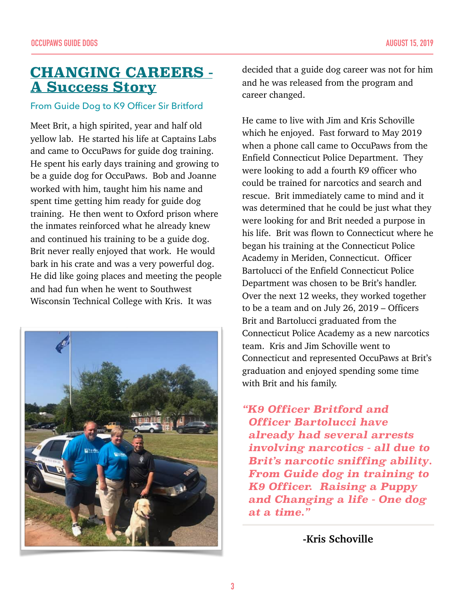## **CHANGING CAREERS - A Success Story**

## From Guide Dog to K9 Officer Sir Britford

Meet Brit, a high spirited, year and half old yellow lab. He started his life at Captains Labs and came to OccuPaws for guide dog training. He spent his early days training and growing to be a guide dog for OccuPaws. Bob and Joanne worked with him, taught him his name and spent time getting him ready for guide dog training. He then went to Oxford prison where the inmates reinforced what he already knew and continued his training to be a guide dog. Brit never really enjoyed that work. He would bark in his crate and was a very powerful dog. He did like going places and meeting the people and had fun when he went to Southwest Wisconsin Technical College with Kris. It was



decided that a guide dog career was not for him and he was released from the program and career changed.

He came to live with Jim and Kris Schoville which he enjoyed. Fast forward to May 2019 when a phone call came to OccuPaws from the Enfield Connecticut Police Department. They were looking to add a fourth K9 officer who could be trained for narcotics and search and rescue. Brit immediately came to mind and it was determined that he could be just what they were looking for and Brit needed a purpose in his life. Brit was flown to Connecticut where he began his training at the Connecticut Police Academy in Meriden, Connecticut. Officer Bartolucci of the Enfield Connecticut Police Department was chosen to be Brit's handler. Over the next 12 weeks, they worked together to be a team and on July 26, 2019 – Officers Brit and Bartolucci graduated from the Connecticut Police Academy as a new narcotics team. Kris and Jim Schoville went to Connecticut and represented OccuPaws at Brit's graduation and enjoyed spending some time with Brit and his family.

*"K9 Officer Britford and Officer Bartolucci have already had several arrests involving narcotics - all due to Brit's narcotic sniffing ability. From Guide dog in training to K9 Officer. Raising a Puppy and Changing a life - One dog at a time."* 

**-Kris Schoville**